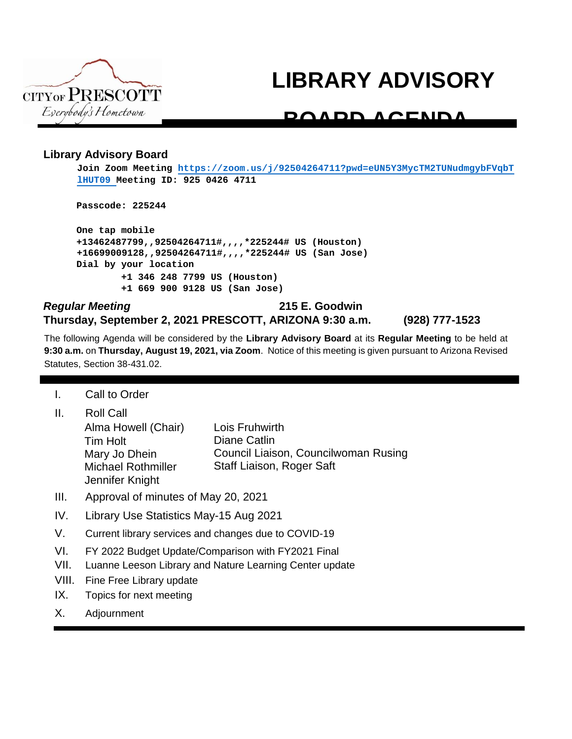

# **LIBRARY ADVISORY**

# **BOARD AGENDA**

### **Library Advisory Board**

**Join Zoom Meeting https://zoom.us/j/92504264711?pwd=eUN5Y3MycTM2TUNudmgybFVqbT lHUT09 Meeting ID: 925 0426 4711**

**Passcode: 225244**

**One tap mobile +13462487799,,92504264711#,,,,\*225244# US (Houston) +16699009128,,92504264711#,,,,\*225244# US (San Jose) [Dial by your location](https://zoom.us/j/92504264711?pwd=eUN5Y3MycTM2TUNudmgybFVqbTlHUT09) [+1](https://zoom.us/j/92504264711?pwd=eUN5Y3MycTM2TUNudmgybFVqbTlHUT09) 346 248 7799 US (Houston) +1 669 900 9128 US (San Jose)**

## *Regular Meeting* **215 E. Goodwin Thursday, September 2, 2021 PRESCOTT, ARIZONA 9:30 a.m. (928) 777-1523**

The following Agenda will be considered by the **Library Advisory Board** at its **Regular Meeting** to be held at **9:30 a.m.** on **Thursday, August 19, 2021, via Zoom**. Notice of this meeting is given pursuant to Arizona Revised Statutes, Section 38-431.02.

I. Call to Order

| Ш. | <b>Roll Call</b>          |                                      |
|----|---------------------------|--------------------------------------|
|    | Alma Howell (Chair)       | Lois Fruhwirth                       |
|    | Tim Holt                  | Diane Catlin                         |
|    | Mary Jo Dhein             | Council Liaison, Councilwoman Rusing |
|    | <b>Michael Rothmiller</b> | Staff Liaison, Roger Saft            |
|    | Jennifer Knight           |                                      |

- III. Approval of minutes of May 20, 2021
- IV. Library Use Statistics May-15 Aug 2021
- V. Current library services and changes due to COVID-19
- VI. FY 2022 Budget Update/Comparison with FY2021 Final
- VII. Luanne Leeson Library and Nature Learning Center update
- VIII. Fine Free Library update
- IX. Topics for next meeting
- X. Adjournment